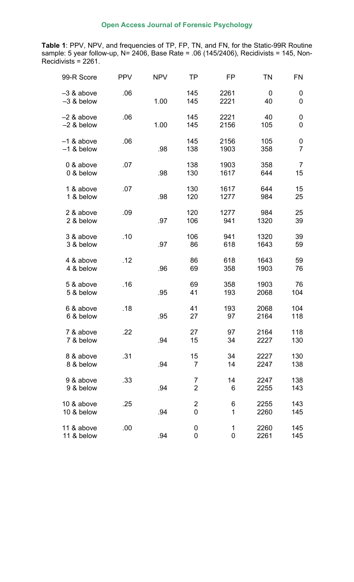**Table 1**: PPV, NPV, and frequencies of TP, FP, TN, and FN, for the Static-99R Routine sample: 5 year follow-up, N= 2406, Base Rate = .06 (145/2406), Recidivists = 145, Non-Recidivists = 2261.

| 99-R Score                   | <b>PPV</b> | <b>NPV</b> | TP                               | FP               | TN           | <b>FN</b>           |
|------------------------------|------------|------------|----------------------------------|------------------|--------------|---------------------|
| $-3$ & above<br>$-3$ & below | .06        | 1.00       | 145<br>145                       | 2261<br>2221     | 0<br>40      | 0<br>0              |
| $-2$ & above<br>$-2$ & below | .06        | 1.00       | 145<br>145                       | 2221<br>2156     | 40<br>105    | 0<br>0              |
| $-1$ & above<br>$-1$ & below | .06        | .98        | 145<br>138                       | 2156<br>1903     | 105<br>358   | 0<br>$\overline{7}$ |
| 0 & above<br>0 & below       | .07        | .98        | 138<br>130                       | 1903<br>1617     | 358<br>644   | 7<br>15             |
| 1 & above<br>1 & below       | .07        | .98        | 130<br>120                       | 1617<br>1277     | 644<br>984   | 15<br>25            |
| 2 & above<br>2 & below       | .09        | .97        | 120<br>106                       | 1277<br>941      | 984<br>1320  | 25<br>39            |
| 3 & above<br>3 & below       | .10        | .97        | 106<br>86                        | 941<br>618       | 1320<br>1643 | 39<br>59            |
| 4 & above<br>4 & below       | .12        | .96        | 86<br>69                         | 618<br>358       | 1643<br>1903 | 59<br>76            |
| 5 & above<br>5 & below       | .16        | .95        | 69<br>41                         | 358<br>193       | 1903<br>2068 | 76<br>104           |
| 6 & above<br>6 & below       | .18        | .95        | 41<br>27                         | 193<br>97        | 2068<br>2164 | 104<br>118          |
| 7 & above<br>7 & below       | .22        | .94        | 27<br>15                         | 97<br>34         | 2164<br>2227 | 118<br>130          |
| 8 & above<br>8 & below       | .31        | .94        | 15<br>$\overline{7}$             | 34<br>14         | 2227<br>2247 | 130<br>138          |
| 9 & above<br>9 & below       | .33        | .94        | $\overline{7}$<br>$\overline{2}$ | 14<br>6          | 2247<br>2255 | 138<br>143          |
| 10 & above<br>10 & below     | .25        | .94        | $\overline{2}$<br>$\overline{0}$ | 6<br>1           | 2255<br>2260 | 143<br>145          |
| 11 & above<br>11 & below     | .00        | .94        | 0<br>$\mathbf 0$                 | 1<br>$\mathbf 0$ | 2260<br>2261 | 145<br>145          |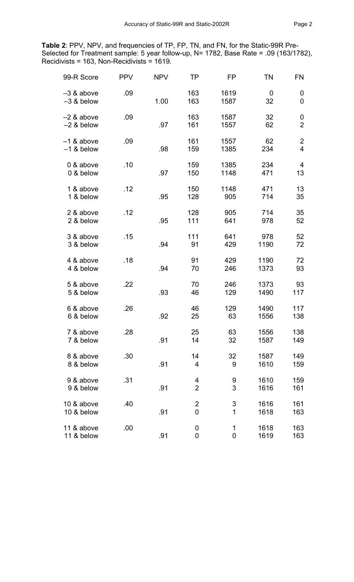**Table 2**: PPV, NPV, and frequencies of TP, FP, TN, and FN, for the Static-99R Pre-Selected for Treatment sample: 5 year follow-up, N= 1782, Base Rate = .09 (163/1782), Recidivists = 163, Non-Recidivists = 1619.

| 99-R Score                   | <b>PPV</b> | <b>NPV</b> | <b>TP</b>                        | <b>FP</b>                  | <b>TN</b>    | <b>FN</b>                                 |
|------------------------------|------------|------------|----------------------------------|----------------------------|--------------|-------------------------------------------|
| $-3$ & above<br>$-3$ & below | .09        | 1.00       | 163<br>163                       | 1619<br>1587               | 0<br>32      | 0<br>0                                    |
| $-2$ & above<br>$-2$ & below | .09        | .97        | 163<br>161                       | 1587<br>1557               | 32<br>62     | 0<br>$\overline{2}$                       |
| $-1$ & above<br>$-1$ & below | .09        | .98        | 161<br>159                       | 1557<br>1385               | 62<br>234    | $\overline{\mathbf{c}}$<br>$\overline{4}$ |
| 0 & above<br>0 & below       | .10        | .97        | 159<br>150                       | 1385<br>1148               | 234<br>471   | $\overline{4}$<br>13                      |
| 1 & above<br>1 & below       | .12        | .95        | 150<br>128                       | 1148<br>905                | 471<br>714   | 13<br>35                                  |
| 2 & above<br>2 & below       | .12        | .95        | 128<br>111                       | 905<br>641                 | 714<br>978   | 35<br>52                                  |
| 3 & above<br>3 & below       | .15        | .94        | 111<br>91                        | 641<br>429                 | 978<br>1190  | 52<br>72                                  |
| 4 & above<br>4 & below       | .18        | .94        | 91<br>70                         | 429<br>246                 | 1190<br>1373 | 72<br>93                                  |
| 5 & above<br>5 & below       | .22        | .93        | 70<br>46                         | 246<br>129                 | 1373<br>1490 | 93<br>117                                 |
| 6 & above<br>6 & below       | .26        | .92        | 46<br>25                         | 129<br>63                  | 1490<br>1556 | 117<br>138                                |
| 7 & above<br>7 & below       | .28        | .91        | 25<br>14                         | 63<br>32                   | 1556<br>1587 | 138<br>149                                |
| 8 & above<br>8 & below       | .30        | .91        | 14<br>$\overline{4}$             | 32<br>9                    | 1587<br>1610 | 149<br>159                                |
| 9 & above<br>9 & below       | .31        | .91        | 4<br>$\overline{2}$              | 9<br>3                     | 1610<br>1616 | 159<br>161                                |
| 10 & above<br>10 & below     | .40        | .91        | $\overline{2}$<br>$\overline{0}$ | 3<br>$\mathbf{1}$          | 1616<br>1618 | 161<br>163                                |
| 11 & above<br>11 & below     | .00        | .91        | $\mathbf 0$<br>0                 | $\mathbf 1$<br>$\mathbf 0$ | 1618<br>1619 | 163<br>163                                |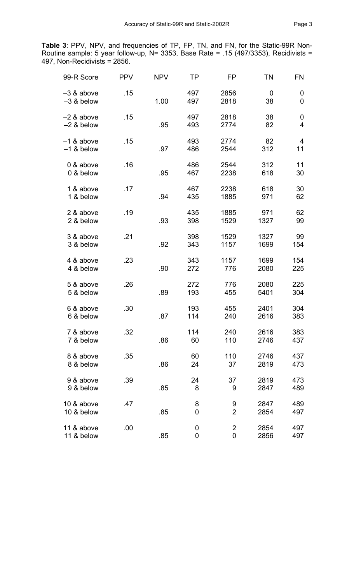**Table 3**: PPV, NPV, and frequencies of TP, FP, TN, and FN, for the Static-99R Non-Routine sample: 5 year follow-up, N= 3353, Base Rate = .15 (497/3353), Recidivists = 497, Non-Recidivists = 2856.

| 99-R Score                   | <b>PPV</b> | <b>NPV</b> | ΤP               | FP                  | <b>TN</b>    | <b>FN</b>  |
|------------------------------|------------|------------|------------------|---------------------|--------------|------------|
| $-3$ & above<br>$-3$ & below | .15        | 1.00       | 497<br>497       | 2856<br>2818        | 0<br>38      | 0<br>0     |
| $-2$ & above<br>$-2$ & below | .15        | .95        | 497<br>493       | 2818<br>2774        | 38<br>82     | 0<br>4     |
| $-1$ & above<br>$-1$ & below | .15        | .97        | 493<br>486       | 2774<br>2544        | 82<br>312    | 4<br>11    |
| 0 & above<br>0 & below       | .16        | .95        | 486<br>467       | 2544<br>2238        | 312<br>618   | 11<br>30   |
| 1 & above<br>1 & below       | .17        | .94        | 467<br>435       | 2238<br>1885        | 618<br>971   | 30<br>62   |
| 2 & above<br>2 & below       | .19        | .93        | 435<br>398       | 1885<br>1529        | 971<br>1327  | 62<br>99   |
| 3 & above<br>3 & below       | .21        | .92        | 398<br>343       | 1529<br>1157        | 1327<br>1699 | 99<br>154  |
| 4 & above<br>4 & below       | .23        | .90        | 343<br>272       | 1157<br>776         | 1699<br>2080 | 154<br>225 |
| 5 & above<br>5 & below       | .26        | .89        | 272<br>193       | 776<br>455          | 2080<br>5401 | 225<br>304 |
| 6 & above<br>6 & below       | .30        | .87        | 193<br>114       | 455<br>240          | 2401<br>2616 | 304<br>383 |
| 7 & above<br>7 & below       | .32        | .86        | 114<br>60        | 240<br>110          | 2616<br>2746 | 383<br>437 |
| 8 & above<br>8 & below       | .35        | .86        | 60<br>24         | 110<br>37           | 2746<br>2819 | 437<br>473 |
| 9 & above<br>9 & below       | .39        | .85        | 24<br>8          | 37<br>9             | 2819<br>2847 | 473<br>489 |
| 10 & above<br>10 & below     | .47        | .85        | 8<br>$\mathbf 0$ | 9<br>$\overline{2}$ | 2847<br>2854 | 489<br>497 |
| 11 & above<br>11 & below     | .00        | .85        | 0<br>$\mathbf 0$ | $\overline{2}$<br>0 | 2854<br>2856 | 497<br>497 |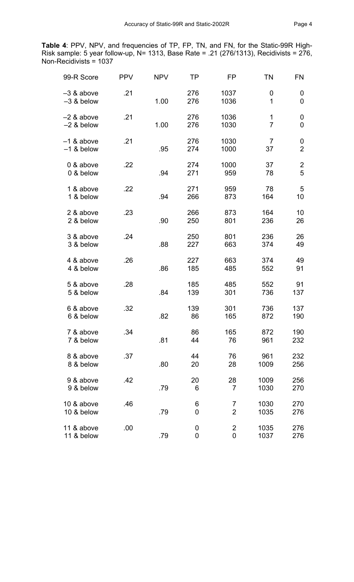**Table 4**: PPV, NPV, and frequencies of TP, FP, TN, and FN, for the Static-99R High-Risk sample: 5 year follow-up, N= 1313, Base Rate = .21 (276/1313), Recidivists = 276, Non-Recidivists = 1037

| 99-R Score                   | <b>PPV</b> | <b>NPV</b> | ΤP         | FP                   | ΤN                   | FN                  |
|------------------------------|------------|------------|------------|----------------------|----------------------|---------------------|
| $-3$ & above<br>$-3$ & below | .21        | 1.00       | 276<br>276 | 1037<br>1036         | 0<br>1               | 0<br>0              |
| $-2$ & above<br>$-2$ & below | .21        | 1.00       | 276<br>276 | 1036<br>1030         | 1<br>$\overline{7}$  | 0<br>0              |
| $-1$ & above<br>$-1$ & below | .21        | .95        | 276<br>274 | 1030<br>1000         | $\overline{7}$<br>37 | 0<br>$\overline{2}$ |
| 0 & above<br>0 & below       | .22        | .94        | 274<br>271 | 1000<br>959          | 37<br>78             | $\overline{2}$<br>5 |
| 1 & above<br>1 & below       | .22        | .94        | 271<br>266 | 959<br>873           | 78<br>164            | 5<br>10             |
| 2 & above<br>2 & below       | .23        | .90        | 266<br>250 | 873<br>801           | 164<br>236           | 10<br>26            |
| 3 & above<br>3 & below       | .24        | .88        | 250<br>227 | 801<br>663           | 236<br>374           | 26<br>49            |
| 4 & above<br>4 & below       | .26        | .86        | 227<br>185 | 663<br>485           | 374<br>552           | 49<br>91            |
| 5 & above<br>5 & below       | .28        | .84        | 185<br>139 | 485<br>301           | 552<br>736           | 91<br>137           |
| 6 & above<br>6 & below       | .32        | .82        | 139<br>86  | 301<br>165           | 736<br>872           | 137<br>190          |
| 7 & above<br>7 & below       | .34        | .81        | 86<br>44   | 165<br>76            | 872<br>961           | 190<br>232          |
| 8 & above<br>8 & below       | .37        | .80        | 44<br>20   | 76<br>28             | 961<br>1009          | 232<br>256          |
| 9 & above<br>9 & below       | .42        | .79        | 20<br>6    | 28<br>$\overline{7}$ | 1009<br>1030         | 256<br>270          |
| 10 & above<br>10 & below     | .46        | .79        | 6<br>0     | 7<br>$\overline{2}$  | 1030<br>1035         | 270<br>276          |
| 11 & above<br>11 & below     | .00        | .79        | 0<br>0     | $\overline{2}$<br>0  | 1035<br>1037         | 276<br>276          |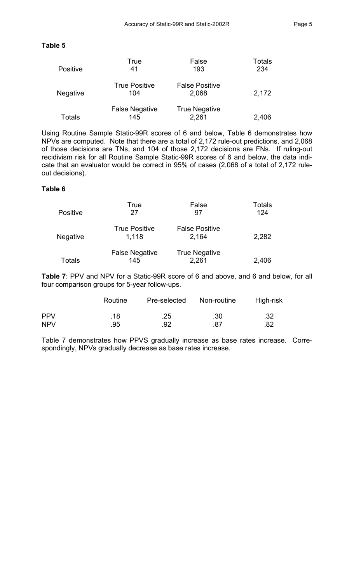## **Table 5**

| <b>Positive</b> | True<br>41                   | False<br>193                   | <b>Totals</b><br>234 |
|-----------------|------------------------------|--------------------------------|----------------------|
| Negative        | <b>True Positive</b><br>104  | <b>False Positive</b><br>2,068 | 2,172                |
| Totals          | <b>False Negative</b><br>145 | <b>True Negative</b><br>2,261  | 2,406                |

Using Routine Sample Static-99R scores of 6 and below, Table 6 demonstrates how NPVs are computed. Note that there are a total of 2,172 rule-out predictions, and 2,068 of those decisions are TNs, and 104 of those 2,172 decisions are FNs. If ruling-out recidivism risk for all Routine Sample Static-99R scores of 6 and below, the data indicate that an evaluator would be correct in 95% of cases (2,068 of a total of 2,172 ruleout decisions).

## **Table 6**

| <b>Positive</b> | True<br>27                    | False<br>97                    | <b>Totals</b><br>124 |
|-----------------|-------------------------------|--------------------------------|----------------------|
| <b>Negative</b> | <b>True Positive</b><br>1,118 | <b>False Positive</b><br>2,164 | 2,282                |
| Totals          | <b>False Negative</b><br>145  | <b>True Negative</b><br>2,261  | 2,406                |

**Table 7**: PPV and NPV for a Static-99R score of 6 and above, and 6 and below, for all four comparison groups for 5-year follow-ups.

|            | Routine | Pre-selected | Non-routine | High-risk |
|------------|---------|--------------|-------------|-----------|
| <b>PPV</b> | .18     | .25          | .30         | .32       |
| <b>NPV</b> | .95     | .92          | .87         | .82       |

Table 7 demonstrates how PPVS gradually increase as base rates increase. Correspondingly, NPVs gradually decrease as base rates increase.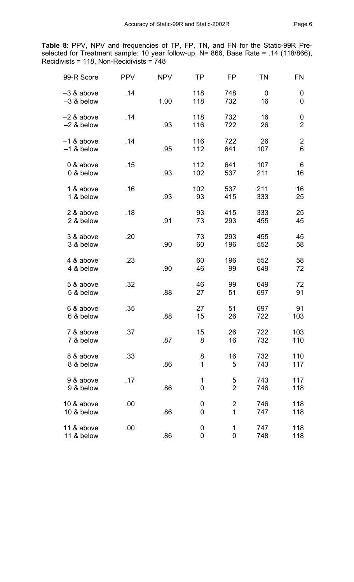**Table 8**: PPV, NPV and frequencies of TP, FP, TN, and FN for the Static-99R Preselected for Treatment sample: 10 year follow-up, N= 866, Base Rate = .14 (118/866), Recidivists = 118, Non-Recidivists = 748

| 99-R Score                   | <b>PPV</b> | <b>NPV</b> | <b>TP</b>           | FP                                        | <b>TN</b>         | <b>FN</b>                     |
|------------------------------|------------|------------|---------------------|-------------------------------------------|-------------------|-------------------------------|
| $-3$ & above<br>$-3$ & below | .14        | 1.00       | 118<br>118          | 748<br>732                                | $\mathbf 0$<br>16 | 0<br>0                        |
| $-2$ & above<br>$-2$ & below | .14        | .93        | 118<br>116          | 732<br>722                                | 16<br>26          | $\mathbf 0$<br>$\overline{2}$ |
| $-1$ & above<br>$-1$ & below | .14        | .95        | 116<br>112          | 722<br>641                                | 26<br>107         | $\overline{c}$<br>6           |
| 0 & above<br>0 & below       | .15        | .93        | 112<br>102          | 641<br>537                                | 107<br>211        | 6<br>16                       |
| 1 & above<br>1 & below       | .16        | .93        | 102<br>93           | 537<br>415                                | 211<br>333        | 16<br>25                      |
| 2 & above<br>2 & below       | .18        | .91        | 93<br>73            | 415<br>293                                | 333<br>455        | 25<br>45                      |
| 3 & above<br>3 & below       | .20        | .90        | 73<br>60            | 293<br>196                                | 455<br>552        | 45<br>58                      |
| 4 & above<br>4 & below       | .23        | .90        | 60<br>46            | 196<br>99                                 | 552<br>649        | 58<br>72                      |
| 5 & above<br>5 & below       | .32        | .88        | 46<br>27            | 99<br>51                                  | 649<br>697        | 72<br>91                      |
| 6 & above<br>6 & below       | .35        | .88        | 27<br>15            | 51<br>26                                  | 697<br>722        | 91<br>103                     |
| 7 & above<br>7 & below       | .37        | .87        | 15<br>8             | 26<br>16                                  | 722<br>732        | 103<br>110                    |
| 8 & above<br>8 & below       | .33        | .86        | 8<br>1              | 16<br>5                                   | 732<br>743        | 110<br>117                    |
| 9 & above<br>9 & below       | .17        | .86        | 1<br>$\overline{0}$ | 5<br>$\overline{2}$                       | 743<br>746        | 117<br>118                    |
| 10 & above<br>10 & below     | .00        | .86        | 0<br>0              | $\overline{\mathbf{c}}$<br>$\overline{1}$ | 746<br>747        | 118<br>118                    |
| 11 & above<br>11 & below     | .00        | .86        | 0<br>0              | $\mathbf 1$<br>$\mathbf 0$                | 747<br>748        | 118<br>118                    |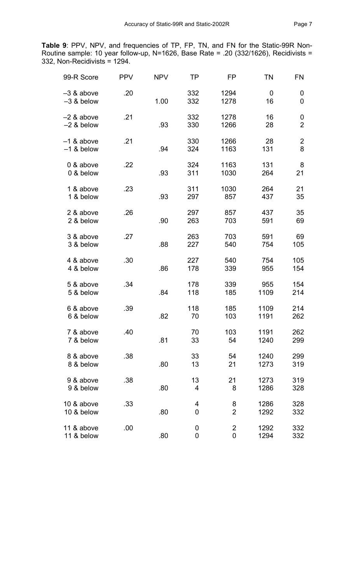**Table 9**: PPV, NPV, and frequencies of TP, FP, TN, and FN for the Static-99R Non-Routine sample: 10 year follow-up, N=1626, Base Rate = .20 (332/1626), Recidivists = 332, Non-Recidivists = 1294.

| 99-R Score                   | <b>PPV</b> | <b>NPV</b> | TP                  | FP                            | <b>TN</b>    | FN                  |
|------------------------------|------------|------------|---------------------|-------------------------------|--------------|---------------------|
| $-3$ & above<br>$-3$ & below | .20        | 1.00       | 332<br>332          | 1294<br>1278                  | 0<br>16      | 0<br>0              |
| $-2$ & above<br>$-2$ & below | .21        | .93        | 332<br>330          | 1278<br>1266                  | 16<br>28     | 0<br>$\overline{2}$ |
| $-1$ & above<br>$-1$ & below | .21        | .94        | 330<br>324          | 1266<br>1163                  | 28<br>131    | 2<br>8              |
| 0 & above<br>0 & below       | .22        | .93        | 324<br>311          | 1163<br>1030                  | 131<br>264   | 8<br>21             |
| 1 & above<br>1 & below       | .23        | .93        | 311<br>297          | 1030<br>857                   | 264<br>437   | 21<br>35            |
| 2 & above<br>2 & below       | .26        | .90        | 297<br>263          | 857<br>703                    | 437<br>591   | 35<br>69            |
| 3 & above<br>3 & below       | .27        | .88        | 263<br>227          | 703<br>540                    | 591<br>754   | 69<br>105           |
| 4 & above<br>4 & below       | .30        | .86        | 227<br>178          | 540<br>339                    | 754<br>955   | 105<br>154          |
| 5 & above<br>5 & below       | .34        | .84        | 178<br>118          | 339<br>185                    | 955<br>1109  | 154<br>214          |
| 6 & above<br>6 & below       | .39        | .82        | 118<br>70           | 185<br>103                    | 1109<br>1191 | 214<br>262          |
| 7 & above<br>7 & below       | .40        | .81        | 70<br>33            | 103<br>54                     | 1191<br>1240 | 262<br>299          |
| 8 & above<br>8 & below       | .38        | .80        | 33<br>13            | 54<br>21                      | 1240<br>1273 | 299<br>319          |
| 9 & above<br>9 & below       | .38        | .80        | 13<br>4             | 21<br>8                       | 1273<br>1286 | 319<br>328          |
| 10 & above<br>10 & below     | .33        | .80        | 4<br>$\overline{0}$ | 8<br>$\overline{2}$           | 1286<br>1292 | 328<br>332          |
| 11 & above<br>11 & below     | .00        | .80        | 0<br>$\mathbf 0$    | $\overline{2}$<br>$\mathbf 0$ | 1292<br>1294 | 332<br>332          |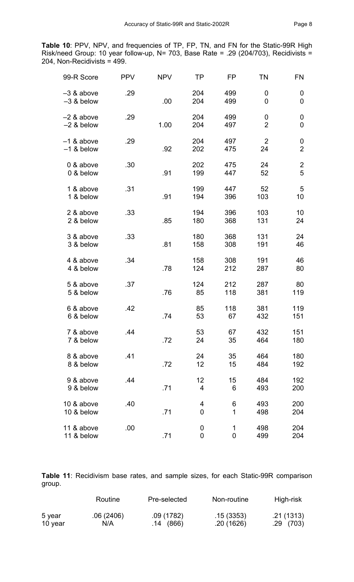**Table 10**: PPV, NPV, and frequencies of TP, FP, TN, and FN for the Static-99R High Risk/need Group: 10 year follow-up, N= 703, Base Rate = .29 (204/703), Recidivists = 204, Non-Recidivists = 499.

| 99-R Score                 | <b>PPV</b> | <b>NPV</b> | <b>TP</b>           | FP               | ΤN                   | FN                  |
|----------------------------|------------|------------|---------------------|------------------|----------------------|---------------------|
| -3 & above<br>$-3$ & below | .29        | .00        | 204<br>204          | 499<br>499       | 0<br>0               | 0<br>$\mathbf 0$    |
| -2 & above<br>$-2$ & below | .29        | 1.00       | 204<br>204          | 499<br>497       | 0<br>$\overline{2}$  | 0<br>0              |
| -1 & above<br>$-1$ & below | .29        | .92        | 204<br>202          | 497<br>475       | $\overline{2}$<br>24 | 0<br>$\overline{2}$ |
| 0 & above<br>0 & below     | .30        | .91        | 202<br>199          | 475<br>447       | 24<br>52             | $\mathbf{2}$<br>5   |
| 1 & above<br>1 & below     | .31        | .91        | 199<br>194          | 447<br>396       | 52<br>103            | 5<br>10             |
| 2 & above<br>2 & below     | .33        | .85        | 194<br>180          | 396<br>368       | 103<br>131           | 10<br>24            |
| 3 & above<br>3 & below     | .33        | .81        | 180<br>158          | 368<br>308       | 131<br>191           | 24<br>46            |
| 4 & above<br>4 & below     | .34        | .78        | 158<br>124          | 308<br>212       | 191<br>287           | 46<br>80            |
| 5 & above<br>5 & below     | .37        | .76        | 124<br>85           | 212<br>118       | 287<br>381           | 80<br>119           |
| 6 & above<br>6 & below     | .42        | .74        | 85<br>53            | 118<br>67        | 381<br>432           | 119<br>151          |
| 7 & above<br>7 & below     | .44        | .72        | 53<br>24            | 67<br>35         | 432<br>464           | 151<br>180          |
| 8 & above<br>8 & below     | .41        | .72        | 24<br>12            | 35<br>15         | 464<br>484           | 180<br>192          |
| 9 & above<br>9 & below     | .44        | .71        | 12<br>4             | 15<br>6          | 484<br>493           | 192<br>200          |
| 10 & above<br>10 & below   | .40        | .71        | 4<br>$\overline{0}$ | 6<br>1           | 493<br>498           | 200<br>204          |
| 11 & above<br>11 & below   | .00        | .71        | 0<br>$\mathbf 0$    | 1<br>$\mathbf 0$ | 498<br>499           | 204<br>204          |

**Table 11**: Recidivism base rates, and sample sizes, for each Static-99R comparison group.

|         | Routine   | Pre-selected | Non-routine | High-risk  |
|---------|-----------|--------------|-------------|------------|
| 5 year  | .06(2406) | .09 (1782)   | .15(3353)   | .21 (1313) |
| 10 year | N/A       | .14 (866)    | .20(1626)   | .29(703)   |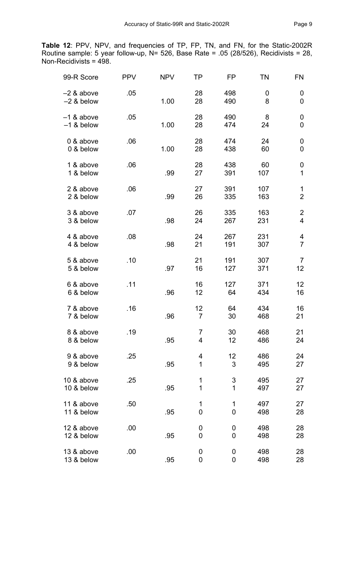**Table 12**: PPV, NPV, and frequencies of TP, FP, TN, and FN, for the Static-2002R Routine sample: 5 year follow-up, N= 526, Base Rate = .05 (28/526), Recidivists = 28, Non-Recidivists = 498.

| 99-R Score                   | <b>PPV</b> | <b>NPV</b> | ΤP                    | FP                  | TN         | FN                               |
|------------------------------|------------|------------|-----------------------|---------------------|------------|----------------------------------|
| $-2$ & above<br>$-2$ & below | .05        | 1.00       | 28<br>28              | 498<br>490          | 0<br>8     | 0<br>0                           |
| $-1$ & above<br>$-1$ & below | .05        | 1.00       | 28<br>28              | 490<br>474          | 8<br>24    | 0<br>$\mathbf 0$                 |
| 0 & above<br>0 & below       | .06        | 1.00       | 28<br>28              | 474<br>438          | 24<br>60   | 0<br>0                           |
| 1 & above<br>1 & below       | .06        | .99        | 28<br>27              | 438<br>391          | 60<br>107  | $\boldsymbol{0}$<br>$\mathbf{1}$ |
| 2 & above<br>2 & below       | .06        | .99        | 27<br>26              | 391<br>335          | 107<br>163 | 1<br>$\overline{2}$              |
| 3 & above<br>3 & below       | .07        | .98        | 26<br>24              | 335<br>267          | 163<br>231 | $\overline{c}$<br>$\overline{4}$ |
| 4 & above<br>4 & below       | .08        | .98        | 24<br>21              | 267<br>191          | 231<br>307 | 4<br>$\overline{7}$              |
| 5 & above<br>5 & below       | .10        | .97        | 21<br>16              | 191<br>127          | 307<br>371 | $\overline{7}$<br>12             |
| 6 & above<br>6 & below       | .11        | .96        | 16<br>12              | 127<br>64           | 371<br>434 | 12<br>16                         |
| 7 & above<br>7 & below       | .16        | .96        | 12<br>$\overline{7}$  | 64<br>30            | 434<br>468 | 16<br>21                         |
| 8 & above<br>8 & below       | .19        | .95        | $\overline{7}$<br>4   | 30<br>12            | 468<br>486 | 21<br>24                         |
| 9 & above<br>9 & below       | .25        | .95        | 4<br>1                | 12<br>3             | 486<br>495 | 24<br>27                         |
| 10 & above<br>10 & below     | .25        | .95        | 1<br>$\mathbf 1$      | $\sqrt{3}$<br>1     | 495<br>497 | 27<br>27                         |
| 11 & above<br>11 & below     | .50        | .95        | 1<br>$\mathbf 0$      | 1<br>$\overline{0}$ | 497<br>498 | 27<br>28                         |
| 12 & above<br>12 & below     | .00        | .95        | 0<br>0                | 0<br>0              | 498<br>498 | 28<br>28                         |
| 13 & above<br>13 & below     | .00        | .95        | $\boldsymbol{0}$<br>0 | 0<br>$\mathbf 0$    | 498<br>498 | 28<br>28                         |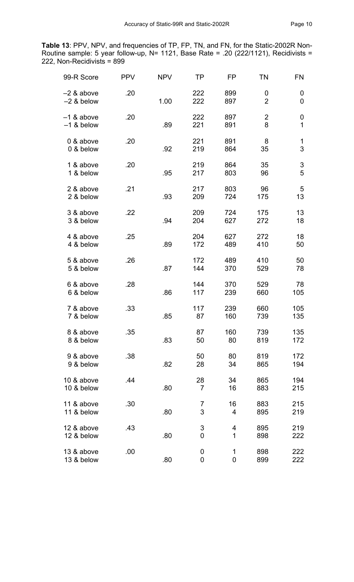**Table 13**: PPV, NPV, and frequencies of TP, FP, TN, and FN, for the Static-2002R Non-Routine sample: 5 year follow-up, N= 1121, Base Rate = .20 (222/1121), Recidivists = 222, Non-Recidivists = 899

| 99-R Score                   | <b>PPV</b> | <b>NPV</b> | TP                   | FP         | <b>TN</b>           | FN         |
|------------------------------|------------|------------|----------------------|------------|---------------------|------------|
| $-2$ & above<br>$-2$ & below | .20        | 1.00       | 222<br>222           | 899<br>897 | 0<br>$\overline{2}$ | 0<br>0     |
| $-1$ & above<br>$-1$ & below | .20        | .89        | 222<br>221           | 897<br>891 | $\overline{2}$<br>8 | 0<br>1     |
| 0 & above<br>0 & below       | .20        | .92        | 221<br>219           | 891<br>864 | 8<br>35             | 1<br>3     |
| 1 & above<br>1 & below       | .20        | .95        | 219<br>217           | 864<br>803 | 35<br>96            | 3<br>5     |
| 2 & above<br>2 & below       | .21        | .93        | 217<br>209           | 803<br>724 | 96<br>175           | 5<br>13    |
| 3 & above<br>3 & below       | .22        | .94        | 209<br>204           | 724<br>627 | 175<br>272          | 13<br>18   |
| 4 & above<br>4 & below       | .25        | .89        | 204<br>172           | 627<br>489 | 272<br>410          | 18<br>50   |
| 5 & above<br>5 & below       | .26        | .87        | 172<br>144           | 489<br>370 | 410<br>529          | 50<br>78   |
| 6 & above<br>6 & below       | .28        | .86        | 144<br>117           | 370<br>239 | 529<br>660          | 78<br>105  |
| 7 & above<br>7 & below       | .33        | .85        | 117<br>87            | 239<br>160 | 660<br>739          | 105<br>135 |
| 8 & above<br>8 & below       | .35        | .83        | 87<br>50             | 160<br>80  | 739<br>819          | 135<br>172 |
| 9 & above<br>9 & below       | .38        | .82        | 50<br>28             | 80<br>34   | 819<br>865          | 172<br>194 |
| 10 & above<br>10 & below     | .44        | .80        | 28<br>$\overline{7}$ | 34<br>16   | 865<br>883          | 194<br>215 |
| 11 & above<br>11 & below     | .30        | .80        | $\overline{7}$<br>3  | 16<br>4    | 883<br>895          | 215<br>219 |
| 12 & above<br>12 & below     | .43        | .80        | $\mathfrak 3$<br>0   | 4<br>1     | 895<br>898          | 219<br>222 |
| 13 & above<br>13 & below     | .00        | .80        | 0<br>0               | 1<br>0     | 898<br>899          | 222<br>222 |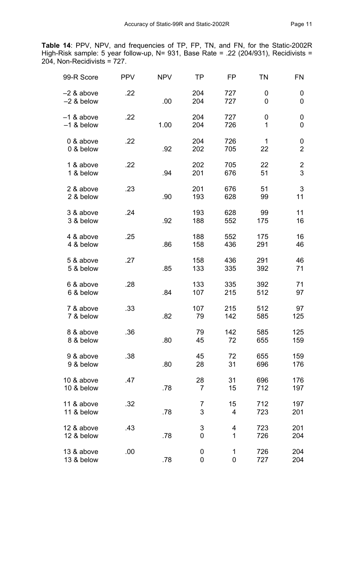**Table 14**: PPV, NPV, and frequencies of TP, FP, TN, and FN, for the Static-2002R High-Risk sample: 5 year follow-up, N= 931, Base Rate = .22 (204/931), Recidivists = 204, Non-Recidivists = 727.

| 99-R Score                   | <b>PPV</b> | <b>NPV</b> | <b>TP</b>                      | FP                | <b>TN</b>  | <b>FN</b>                    |
|------------------------------|------------|------------|--------------------------------|-------------------|------------|------------------------------|
| $-2$ & above<br>$-2$ & below | .22        | .00        | 204<br>204                     | 727<br>727        | 0<br>0     | 0<br>0                       |
| $-1$ & above<br>$-1$ & below | .22        | 1.00       | 204<br>204                     | 727<br>726        | 0<br>1     | $\boldsymbol{0}$<br>0        |
| 0 & above<br>0 & below       | .22        | .92        | 204<br>202                     | 726<br>705        | 1<br>22    | 0<br>$\overline{2}$          |
| 1 & above<br>1 & below       | .22        | .94        | 202<br>201                     | 705<br>676        | 22<br>51   | $\overline{\mathbf{c}}$<br>3 |
| 2 & above<br>2 & below       | .23        | .90        | 201<br>193                     | 676<br>628        | 51<br>99   | $\mathbf{3}$<br>11           |
| 3 & above<br>3 & below       | .24        | .92        | 193<br>188                     | 628<br>552        | 99<br>175  | 11<br>16                     |
| 4 & above<br>4 & below       | .25        | .86        | 188<br>158                     | 552<br>436        | 175<br>291 | 16<br>46                     |
| 5 & above<br>5 & below       | .27        | .85        | 158<br>133                     | 436<br>335        | 291<br>392 | 46<br>71                     |
| 6 & above<br>6 & below       | .28        | .84        | 133<br>107                     | 335<br>215        | 392<br>512 | 71<br>97                     |
| 7 & above<br>7 & below       | .33        | .82        | 107<br>79                      | 215<br>142        | 512<br>585 | 97<br>125                    |
| 8 & above<br>8 & below       | .36        | .80        | 79<br>45                       | 142<br>72         | 585<br>655 | 125<br>159                   |
| 9 & above<br>9 & below       | .38        | .80        | 45<br>28                       | 72<br>31          | 655<br>696 | 159<br>176                   |
| 10 & above<br>10 & below     | .47        | .78        | 28<br>$\overline{7}$           | 31<br>15          | 696<br>712 | 176<br>197                   |
| 11 & above<br>11 & below     | .32        | .78        | 7<br>3                         | 15<br>4           | 712<br>723 | 197<br>201                   |
| 12 & above<br>12 & below     | .43        | .78        | $\ensuremath{\mathsf{3}}$<br>0 | 4<br>$\mathbf{1}$ | 723<br>726 | 201<br>204                   |
| 13 & above<br>13 & below     | .00        | .78        | $\mathbf 0$<br>0               | 1<br>0            | 726<br>727 | 204<br>204                   |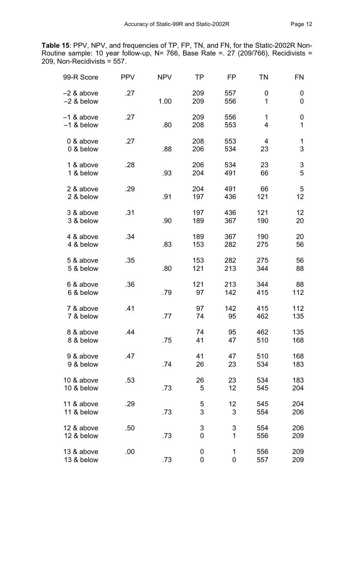**Table 15**: PPV, NPV, and frequencies of TP, FP, TN, and FN, for the Static-2002R Non-Routine sample: 10 year follow-up, N= 766, Base Rate =. 27 (209/766), Recidivists = 209, Non-Recidivists = 557.

| 99-R Score                   | <b>PPV</b> | <b>NPV</b> | <b>TP</b>           | FP                | <b>TN</b>           | FN         |
|------------------------------|------------|------------|---------------------|-------------------|---------------------|------------|
| $-2$ & above<br>$-2$ & below | .27        | 1.00       | 209<br>209          | 557<br>556        | 0<br>1              | 0<br>0     |
| $-1$ & above<br>$-1$ & below | .27        | .80        | 209<br>208          | 556<br>553        | 1<br>$\overline{4}$ | 0<br>1     |
| 0 & above<br>0 & below       | .27        | .88        | 208<br>206          | 553<br>534        | 4<br>23             | 1<br>3     |
| 1 & above<br>1 & below       | .28        | .93        | 206<br>204          | 534<br>491        | 23<br>66            | 3<br>5     |
| 2 & above<br>2 & below       | .29        | .91        | 204<br>197          | 491<br>436        | 66<br>121           | 5<br>12    |
| 3 & above<br>3 & below       | .31        | .90        | 197<br>189          | 436<br>367        | 121<br>190          | 12<br>20   |
| 4 & above<br>4 & below       | .34        | .83        | 189<br>153          | 367<br>282        | 190<br>275          | 20<br>56   |
| 5 & above<br>5 & below       | .35        | .80        | 153<br>121          | 282<br>213        | 275<br>344          | 56<br>88   |
| 6 & above<br>6 & below       | .36        | .79        | 121<br>97           | 213<br>142        | 344<br>415          | 88<br>112  |
| 7 & above<br>7 & below       | .41        | .77        | 97<br>74            | 142<br>95         | 415<br>462          | 112<br>135 |
| 8 & above<br>8 & below       | .44        | .75        | 74<br>41            | 95<br>47          | 462<br>510          | 135<br>168 |
| 9 & above<br>9 & below       | .47        | .74        | 41<br>26            | 47<br>23          | 510<br>534          | 168<br>183 |
| 10 & above<br>10 & below     | .53        | .73        | 26<br>5             | 23<br>12          | 534<br>545          | 183<br>204 |
| 11 & above<br>11 & below     | .29        | .73        | $\overline{5}$<br>3 | 12<br>3           | 545<br>554          | 204<br>206 |
| 12 & above<br>12 & below     | .50        | .73        | $\mathsf 3$<br>0    | 3<br>$\mathbf{1}$ | 554<br>556          | 206<br>209 |
| 13 & above<br>13 & below     | .00        | .73        | 0<br>$\mathbf 0$    | 1<br>$\mathbf 0$  | 556<br>557          | 209<br>209 |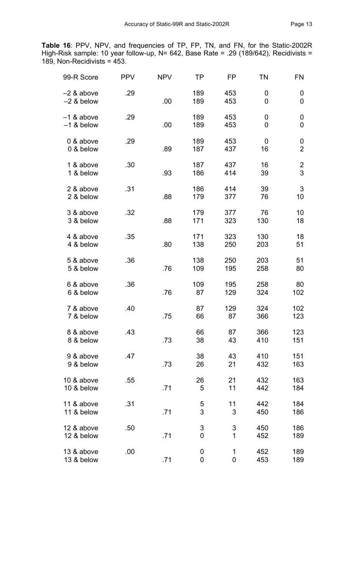**Table 16**: PPV, NPV, and frequencies of TP, FP, TN, and FN, for the Static-2002R High-Risk sample: 10 year follow-up, N= 642, Base Rate = .29 (189/642), Recidivists = 189, Non-Recidivists = 453.

| 99-R Score                   | <b>PPV</b> | <b>NPV</b> | TP                             | FP                                        | <b>TN</b>  | <b>FN</b>                    |
|------------------------------|------------|------------|--------------------------------|-------------------------------------------|------------|------------------------------|
| $-2$ & above<br>$-2$ & below | .29        | .00        | 189<br>189                     | 453<br>453                                | 0<br>0     | 0<br>0                       |
| $-1$ & above<br>$-1$ & below | .29        | .00        | 189<br>189                     | 453<br>453                                | 0<br>0     | 0<br>0                       |
| 0 & above<br>0 & below       | .29        | .89        | 189<br>187                     | 453<br>437                                | 0<br>16    | 0<br>$\overline{2}$          |
| 1 & above<br>1 & below       | .30        | .93        | 187<br>186                     | 437<br>414                                | 16<br>39   | $\overline{\mathbf{c}}$<br>3 |
| 2 & above<br>2 & below       | .31        | .88        | 186<br>179                     | 414<br>377                                | 39<br>76   | 3<br>10                      |
| 3 & above<br>3 & below       | .32        | .88        | 179<br>171                     | 377<br>323                                | 76<br>130  | 10<br>18                     |
| 4 & above<br>4 & below       | .35        | .80        | 171<br>138                     | 323<br>250                                | 130<br>203 | 18<br>51                     |
| 5 & above<br>5 & below       | .36        | .76        | 138<br>109                     | 250<br>195                                | 203<br>258 | 51<br>80                     |
| 6 & above<br>6 & below       | .36        | .76        | 109<br>87                      | 195<br>129                                | 258<br>324 | 80<br>102                    |
| 7 & above<br>7 & below       | .40        | .75        | 87<br>66                       | 129<br>87                                 | 324<br>366 | 102<br>123                   |
| 8 & above<br>8 & below       | .43        | .73        | 66<br>38                       | 87<br>43                                  | 366<br>410 | 123<br>151                   |
| 9 & above<br>9 & below       | .47        | .73        | 38<br>26                       | 43<br>21                                  | 410<br>432 | 151<br>163                   |
| 10 & above<br>10 & below     | .55        | .71        | 26<br>5                        | 21<br>11                                  | 432<br>442 | 163<br>184                   |
| 11 & above<br>11 & below     | .31        | .71        | 5<br>3                         | 11<br>3                                   | 442<br>450 | 184<br>186                   |
| 12 & above<br>12 & below     | .50        | .71        | $\ensuremath{\mathsf{3}}$<br>0 | $\ensuremath{\mathsf{3}}$<br>$\mathbf{1}$ | 450<br>452 | 186<br>189                   |
| 13 & above<br>13 & below     | .00        | .71        | $\pmb{0}$<br>$\mathbf 0$       | $\mathbf 1$<br>$\mathbf 0$                | 452<br>453 | 189<br>189                   |